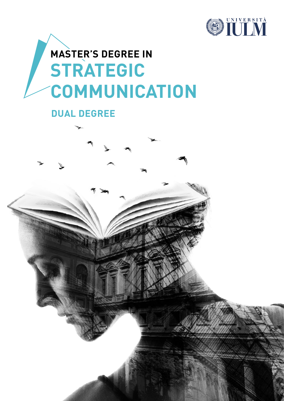

# **STRATEGIC COMMUNICATION MASTER'S DEGREE IN**

#### **DUAL DEGREE**

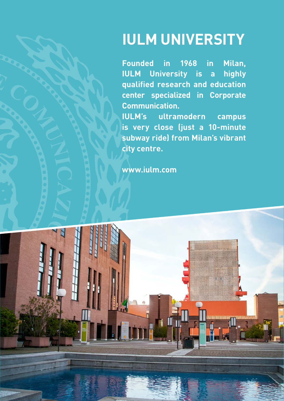# **IULM UNIVERSITY**

**Founded in 1968 in Milan, IULM University is a highly qualified research and education center specialized in Corporate Communication.**

**IULM's ultramodern campus is very close (just a 10-minute subway ride) from Milan's vibrant city centre.** 

**[www.iulm.](www.iulm.com)com**

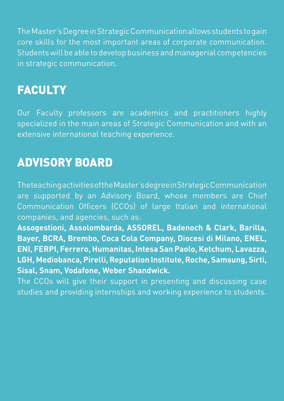The Master's Degree in Strategic Communication allows students to gain core skills for the most important areas of corporate communication. Students will be able to develop business and managerial competencies in strategic communication.

### **FACULTY**

Our Faculty professors are academics and practitioners highly specialized in the main areas of Strategic Communication and with an extensive international teaching experience.

### ADVISORY BOARD

The teaching activities of the Master's degree in Strategic Communication are supported by an Advisory Board, whose members are Chief Communication Officers (CCOs) of large Italian and international companies, and agencies, such as:

**Assogestioni, Assolombarda, ASSOREL, Badenoch & Clark, Barilla, Bayer, BCRA, Brembo, Coca Cola Company, Diocesi di Milano, ENEL, ENI, FERPI, Ferrero, Humanitas, Intesa San Paolo, Ketchum, Lavazza, LGH, Mediobanca, Pirelli, Reputation Institute, Roche, Samsung, Sirti, Sisal, Snam, Vodafone, Weber Shandwick.**

The CCOs will give their support in presenting and discussing case studies and providing internships and working experience to students.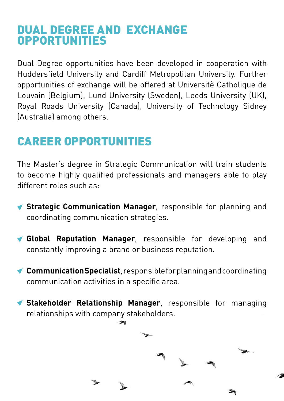### DUAL DEGREE AND EXCHANGE OPPORTUNITIES

Dual Degree opportunities have been developed in cooperation with Huddersfield University and Cardiff Metropolitan University. Further opportunities of exchange will be offered at Universitè Catholique de Louvain (Belgium), Lund University (Sweden), Leeds University (UK), Royal Roads University (Canada), University of Technology Sidney (Australia) among others.

### CAREER OPPORTUNITIES

The Master's degree in Strategic Communication will train students to become highly qualified professionals and managers able to play different roles such as:

- **Strategic Communication Manager**, responsible for planning and coordinating communication strategies.
- **Global Reputation Manager**, responsible for developing and constantly improving a brand or business reputation.
- **Communication Specialist**, responsible for planning and coordinating communication activities in a specific area.

**Stakeholder Relationship Manager**, responsible for managing relationships with company stakeholders.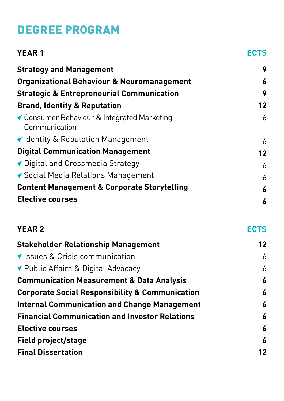## DEGREE PROGRAM

| <b>YEAR1</b>                                                 | ECTS |
|--------------------------------------------------------------|------|
| <b>Strategy and Management</b>                               | 9    |
| <b>Organizational Behaviour &amp; Neuromanagement</b>        | 6    |
| <b>Strategic &amp; Entrepreneurial Communication</b>         | 9    |
| <b>Brand, Identity &amp; Reputation</b>                      | 12   |
| ◆ Consumer Behaviour & Integrated Marketing<br>Communication | 6    |
| ◀ Identity & Reputation Management                           | 6    |
| <b>Digital Communication Management</b>                      | 12   |
| ◆ Digital and Crossmedia Strategy                            | 6    |
| ◆ Social Media Relations Management                          | 6    |
| <b>Content Management &amp; Corporate Storytelling</b>       | 6    |
| <b>Elective courses</b>                                      | 6    |
|                                                              |      |

| <b>YEAR 2</b>                                              | <b>ECTS</b>      |
|------------------------------------------------------------|------------------|
| <b>Stakeholder Relationship Management</b>                 | 12               |
| ▼ Issues & Crisis communication                            | 6                |
| ▼ Public Affairs & Digital Advocacy                        | 6                |
| <b>Communication Measurement &amp; Data Analysis</b>       | $\boldsymbol{6}$ |
| <b>Corporate Social Responsibility &amp; Communication</b> | $\boldsymbol{6}$ |
| <b>Internal Communication and Change Management</b>        | 6                |
| <b>Financial Communication and Investor Relations</b>      | $\boldsymbol{6}$ |
| <b>Elective courses</b>                                    | 6                |
| Field project/stage                                        | 6                |
| <b>Final Dissertation</b>                                  | 12               |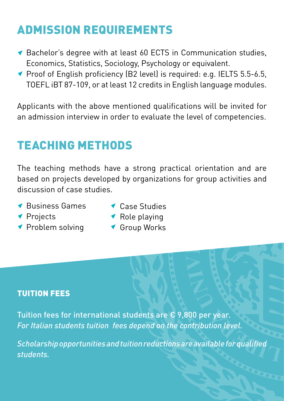## ADMISSION REQUIREMENTS

- ◆ Bachelor's degree with at least 60 ECTS in Communication studies, Economics, Statistics, Sociology, Psychology or equivalent.
- ◆ Proof of English proficiency (B2 level) is required: e.g. IELTS 5.5-6.5, TOEFL iBT 87-109, or at least 12 credits in English language modules.

Applicants with the above mentioned qualifications will be invited for an admission interview in order to evaluate the level of competencies.

## TEACHING METHODS

The teaching methods have a strong practical orientation and are based on projects developed by organizations for group activities and discussion of case studies.

- Business Games
- Case Studies

- ◆ Projects
- ◆ Problem solving
- ◆ Role playing
- Group Works

#### TUITION FEES

Tuition fees for international students are  $\epsilon$  9,800 per year. *For Italian students tuition fees depend on the contribution level.*

*Scholarship opportunities and tuition reductions are available for qualified students.*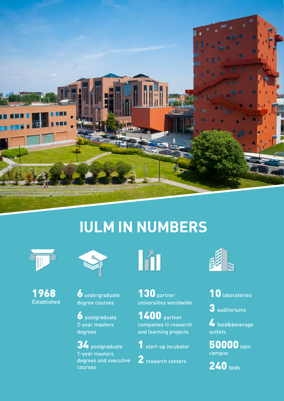

# **IULM IN NUMBERS**





1968 Established

6 undergraduate degree courses

 $\bullet$  postgraduate 2-year masters degrees

34 postgraduate 1-year masters degrees and executive courses

Iñi

130 partner universities worldwide

**1400** partner companies in research and learning projects

1 start-up incubator

2 research centers



10 laboratories

3 auditoriums

 $\blacktriangle$  food&beverage outlets

50000 sqm campus

240 beds